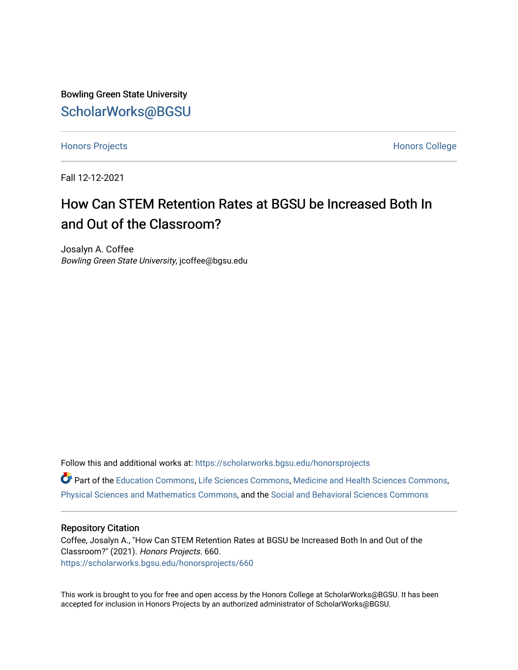Bowling Green State University [ScholarWorks@BGSU](https://scholarworks.bgsu.edu/) 

[Honors Projects](https://scholarworks.bgsu.edu/honorsprojects) **Honors** College

Fall 12-12-2021

# How Can STEM Retention Rates at BGSU be Increased Both In and Out of the Classroom?

Josalyn A. Coffee Bowling Green State University, jcoffee@bgsu.edu

Follow this and additional works at: [https://scholarworks.bgsu.edu/honorsprojects](https://scholarworks.bgsu.edu/honorsprojects?utm_source=scholarworks.bgsu.edu%2Fhonorsprojects%2F660&utm_medium=PDF&utm_campaign=PDFCoverPages)  Part of the [Education Commons](http://network.bepress.com/hgg/discipline/784?utm_source=scholarworks.bgsu.edu%2Fhonorsprojects%2F660&utm_medium=PDF&utm_campaign=PDFCoverPages), [Life Sciences Commons](http://network.bepress.com/hgg/discipline/1016?utm_source=scholarworks.bgsu.edu%2Fhonorsprojects%2F660&utm_medium=PDF&utm_campaign=PDFCoverPages), [Medicine and Health Sciences Commons](http://network.bepress.com/hgg/discipline/648?utm_source=scholarworks.bgsu.edu%2Fhonorsprojects%2F660&utm_medium=PDF&utm_campaign=PDFCoverPages), [Physical Sciences and Mathematics Commons](http://network.bepress.com/hgg/discipline/114?utm_source=scholarworks.bgsu.edu%2Fhonorsprojects%2F660&utm_medium=PDF&utm_campaign=PDFCoverPages), and the [Social and Behavioral Sciences Commons](http://network.bepress.com/hgg/discipline/316?utm_source=scholarworks.bgsu.edu%2Fhonorsprojects%2F660&utm_medium=PDF&utm_campaign=PDFCoverPages) 

#### Repository Citation

Coffee, Josalyn A., "How Can STEM Retention Rates at BGSU be Increased Both In and Out of the Classroom?" (2021). Honors Projects. 660. [https://scholarworks.bgsu.edu/honorsprojects/660](https://scholarworks.bgsu.edu/honorsprojects/660?utm_source=scholarworks.bgsu.edu%2Fhonorsprojects%2F660&utm_medium=PDF&utm_campaign=PDFCoverPages) 

This work is brought to you for free and open access by the Honors College at ScholarWorks@BGSU. It has been accepted for inclusion in Honors Projects by an authorized administrator of ScholarWorks@BGSU.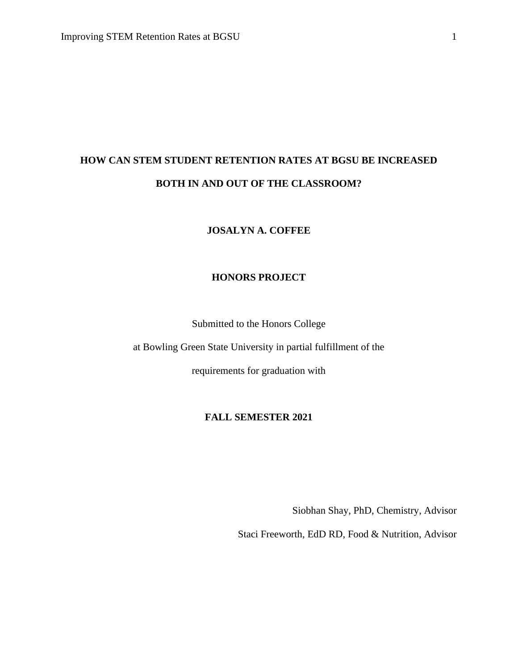# **HOW CAN STEM STUDENT RETENTION RATES AT BGSU BE INCREASED BOTH IN AND OUT OF THE CLASSROOM?**

# **JOSALYN A. COFFEE**

# **HONORS PROJECT**

Submitted to the Honors College

at Bowling Green State University in partial fulfillment of the

requirements for graduation with

# **FALL SEMESTER 2021**

Siobhan Shay, PhD, Chemistry, Advisor

Staci Freeworth, EdD RD, Food & Nutrition, Advisor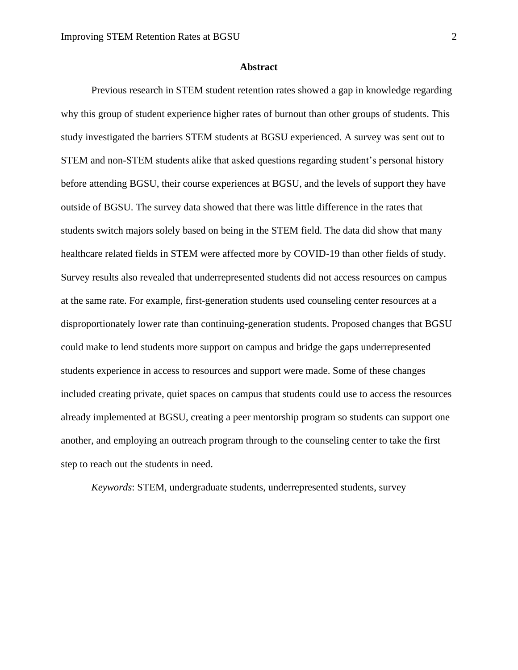#### **Abstract**

Previous research in STEM student retention rates showed a gap in knowledge regarding why this group of student experience higher rates of burnout than other groups of students. This study investigated the barriers STEM students at BGSU experienced. A survey was sent out to STEM and non-STEM students alike that asked questions regarding student's personal history before attending BGSU, their course experiences at BGSU, and the levels of support they have outside of BGSU. The survey data showed that there was little difference in the rates that students switch majors solely based on being in the STEM field. The data did show that many healthcare related fields in STEM were affected more by COVID-19 than other fields of study. Survey results also revealed that underrepresented students did not access resources on campus at the same rate. For example, first-generation students used counseling center resources at a disproportionately lower rate than continuing-generation students. Proposed changes that BGSU could make to lend students more support on campus and bridge the gaps underrepresented students experience in access to resources and support were made. Some of these changes included creating private, quiet spaces on campus that students could use to access the resources already implemented at BGSU, creating a peer mentorship program so students can support one another, and employing an outreach program through to the counseling center to take the first step to reach out the students in need.

*Keywords*: STEM, undergraduate students, underrepresented students, survey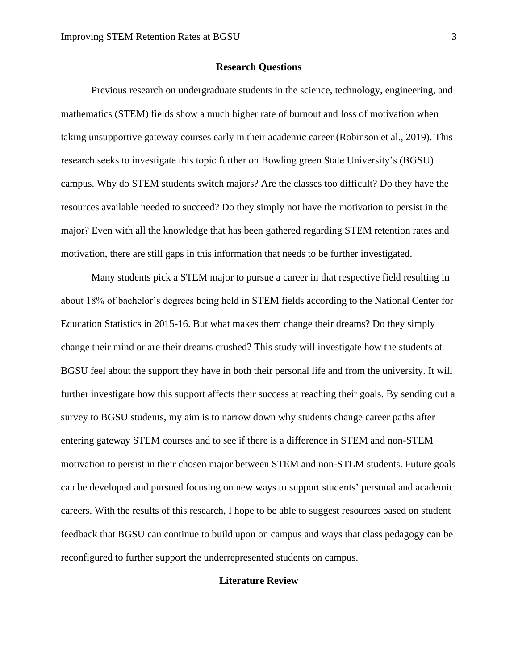#### **Research Questions**

Previous research on undergraduate students in the science, technology, engineering, and mathematics (STEM) fields show a much higher rate of burnout and loss of motivation when taking unsupportive gateway courses early in their academic career (Robinson et al., 2019). This research seeks to investigate this topic further on Bowling green State University's (BGSU) campus. Why do STEM students switch majors? Are the classes too difficult? Do they have the resources available needed to succeed? Do they simply not have the motivation to persist in the major? Even with all the knowledge that has been gathered regarding STEM retention rates and motivation, there are still gaps in this information that needs to be further investigated.

Many students pick a STEM major to pursue a career in that respective field resulting in about 18% of bachelor's degrees being held in STEM fields according to the National Center for Education Statistics in 2015-16. But what makes them change their dreams? Do they simply change their mind or are their dreams crushed? This study will investigate how the students at BGSU feel about the support they have in both their personal life and from the university. It will further investigate how this support affects their success at reaching their goals. By sending out a survey to BGSU students, my aim is to narrow down why students change career paths after entering gateway STEM courses and to see if there is a difference in STEM and non-STEM motivation to persist in their chosen major between STEM and non-STEM students. Future goals can be developed and pursued focusing on new ways to support students' personal and academic careers. With the results of this research, I hope to be able to suggest resources based on student feedback that BGSU can continue to build upon on campus and ways that class pedagogy can be reconfigured to further support the underrepresented students on campus.

## **Literature Review**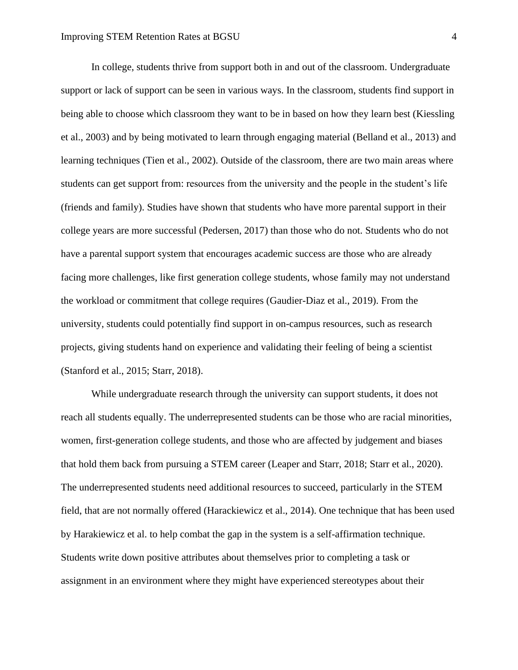In college, students thrive from support both in and out of the classroom. Undergraduate support or lack of support can be seen in various ways. In the classroom, students find support in being able to choose which classroom they want to be in based on how they learn best (Kiessling et al., 2003) and by being motivated to learn through engaging material (Belland et al., 2013) and learning techniques (Tien et al., 2002). Outside of the classroom, there are two main areas where students can get support from: resources from the university and the people in the student's life (friends and family). Studies have shown that students who have more parental support in their college years are more successful (Pedersen, 2017) than those who do not. Students who do not have a parental support system that encourages academic success are those who are already facing more challenges, like first generation college students, whose family may not understand the workload or commitment that college requires (Gaudier-Diaz et al., 2019). From the university, students could potentially find support in on-campus resources, such as research projects, giving students hand on experience and validating their feeling of being a scientist (Stanford et al., 2015; Starr, 2018).

While undergraduate research through the university can support students, it does not reach all students equally. The underrepresented students can be those who are racial minorities, women, first-generation college students, and those who are affected by judgement and biases that hold them back from pursuing a STEM career (Leaper and Starr, 2018; Starr et al., 2020). The underrepresented students need additional resources to succeed, particularly in the STEM field, that are not normally offered (Harackiewicz et al., 2014). One technique that has been used by Harakiewicz et al. to help combat the gap in the system is a self-affirmation technique. Students write down positive attributes about themselves prior to completing a task or assignment in an environment where they might have experienced stereotypes about their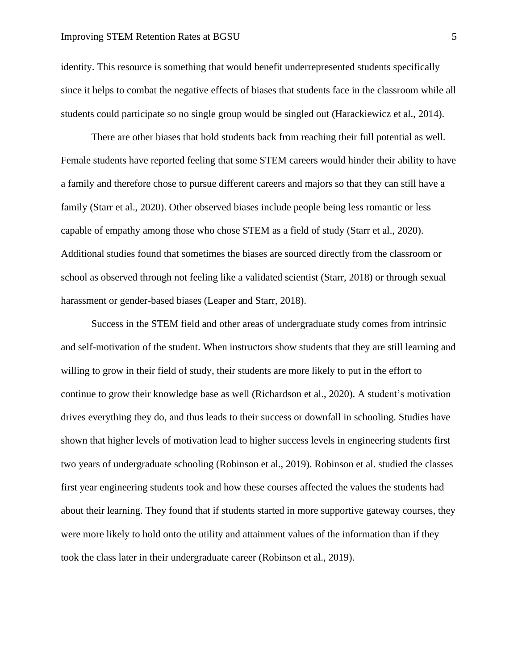identity. This resource is something that would benefit underrepresented students specifically since it helps to combat the negative effects of biases that students face in the classroom while all students could participate so no single group would be singled out (Harackiewicz et al., 2014).

There are other biases that hold students back from reaching their full potential as well. Female students have reported feeling that some STEM careers would hinder their ability to have a family and therefore chose to pursue different careers and majors so that they can still have a family (Starr et al., 2020). Other observed biases include people being less romantic or less capable of empathy among those who chose STEM as a field of study (Starr et al., 2020). Additional studies found that sometimes the biases are sourced directly from the classroom or school as observed through not feeling like a validated scientist (Starr, 2018) or through sexual harassment or gender-based biases (Leaper and Starr, 2018).

Success in the STEM field and other areas of undergraduate study comes from intrinsic and self-motivation of the student. When instructors show students that they are still learning and willing to grow in their field of study, their students are more likely to put in the effort to continue to grow their knowledge base as well (Richardson et al., 2020). A student's motivation drives everything they do, and thus leads to their success or downfall in schooling. Studies have shown that higher levels of motivation lead to higher success levels in engineering students first two years of undergraduate schooling (Robinson et al., 2019). Robinson et al. studied the classes first year engineering students took and how these courses affected the values the students had about their learning. They found that if students started in more supportive gateway courses, they were more likely to hold onto the utility and attainment values of the information than if they took the class later in their undergraduate career (Robinson et al., 2019).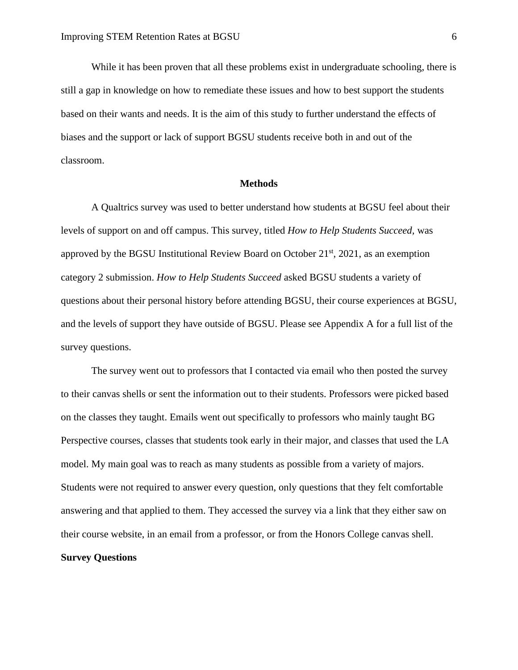While it has been proven that all these problems exist in undergraduate schooling, there is still a gap in knowledge on how to remediate these issues and how to best support the students based on their wants and needs. It is the aim of this study to further understand the effects of biases and the support or lack of support BGSU students receive both in and out of the classroom.

#### **Methods**

A Qualtrics survey was used to better understand how students at BGSU feel about their levels of support on and off campus. This survey, titled *How to Help Students Succeed,* was approved by the BGSU Institutional Review Board on October  $21<sup>st</sup>$ ,  $2021$ , as an exemption category 2 submission. *How to Help Students Succeed* asked BGSU students a variety of questions about their personal history before attending BGSU, their course experiences at BGSU, and the levels of support they have outside of BGSU. Please see Appendix A for a full list of the survey questions.

The survey went out to professors that I contacted via email who then posted the survey to their canvas shells or sent the information out to their students. Professors were picked based on the classes they taught. Emails went out specifically to professors who mainly taught BG Perspective courses, classes that students took early in their major, and classes that used the LA model. My main goal was to reach as many students as possible from a variety of majors. Students were not required to answer every question, only questions that they felt comfortable answering and that applied to them. They accessed the survey via a link that they either saw on their course website, in an email from a professor, or from the Honors College canvas shell.

# **Survey Questions**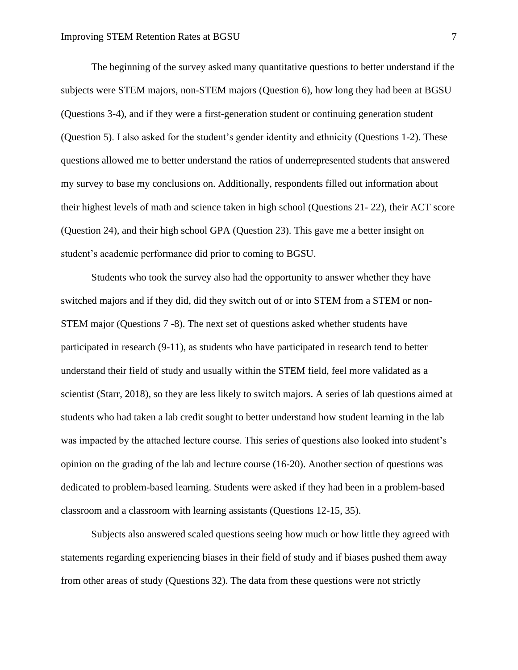The beginning of the survey asked many quantitative questions to better understand if the subjects were STEM majors, non-STEM majors (Question 6), how long they had been at BGSU (Questions 3-4), and if they were a first-generation student or continuing generation student (Question 5). I also asked for the student's gender identity and ethnicity (Questions 1-2). These questions allowed me to better understand the ratios of underrepresented students that answered my survey to base my conclusions on. Additionally, respondents filled out information about their highest levels of math and science taken in high school (Questions 21- 22), their ACT score (Question 24), and their high school GPA (Question 23). This gave me a better insight on student's academic performance did prior to coming to BGSU.

Students who took the survey also had the opportunity to answer whether they have switched majors and if they did, did they switch out of or into STEM from a STEM or non-STEM major (Questions 7 -8). The next set of questions asked whether students have participated in research (9-11), as students who have participated in research tend to better understand their field of study and usually within the STEM field, feel more validated as a scientist (Starr, 2018), so they are less likely to switch majors. A series of lab questions aimed at students who had taken a lab credit sought to better understand how student learning in the lab was impacted by the attached lecture course. This series of questions also looked into student's opinion on the grading of the lab and lecture course (16-20). Another section of questions was dedicated to problem-based learning. Students were asked if they had been in a problem-based classroom and a classroom with learning assistants (Questions 12-15, 35).

Subjects also answered scaled questions seeing how much or how little they agreed with statements regarding experiencing biases in their field of study and if biases pushed them away from other areas of study (Questions 32). The data from these questions were not strictly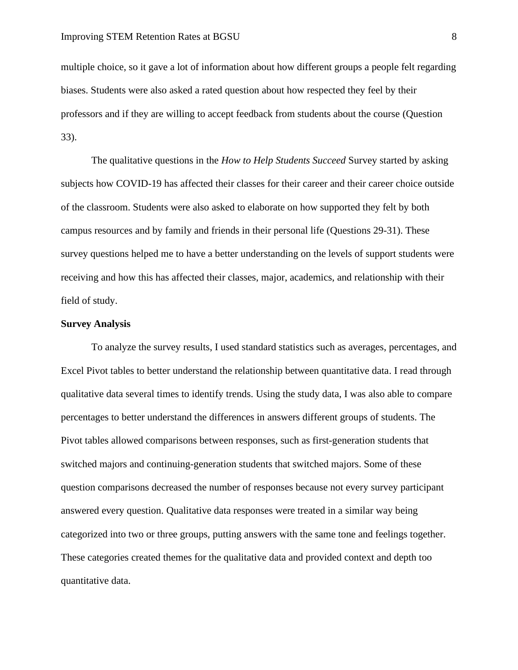multiple choice, so it gave a lot of information about how different groups a people felt regarding biases. Students were also asked a rated question about how respected they feel by their professors and if they are willing to accept feedback from students about the course (Question 33).

The qualitative questions in the *How to Help Students Succeed* Survey started by asking subjects how COVID-19 has affected their classes for their career and their career choice outside of the classroom. Students were also asked to elaborate on how supported they felt by both campus resources and by family and friends in their personal life (Questions 29-31). These survey questions helped me to have a better understanding on the levels of support students were receiving and how this has affected their classes, major, academics, and relationship with their field of study.

#### **Survey Analysis**

To analyze the survey results, I used standard statistics such as averages, percentages, and Excel Pivot tables to better understand the relationship between quantitative data. I read through qualitative data several times to identify trends. Using the study data, I was also able to compare percentages to better understand the differences in answers different groups of students. The Pivot tables allowed comparisons between responses, such as first-generation students that switched majors and continuing-generation students that switched majors. Some of these question comparisons decreased the number of responses because not every survey participant answered every question. Qualitative data responses were treated in a similar way being categorized into two or three groups, putting answers with the same tone and feelings together. These categories created themes for the qualitative data and provided context and depth too quantitative data.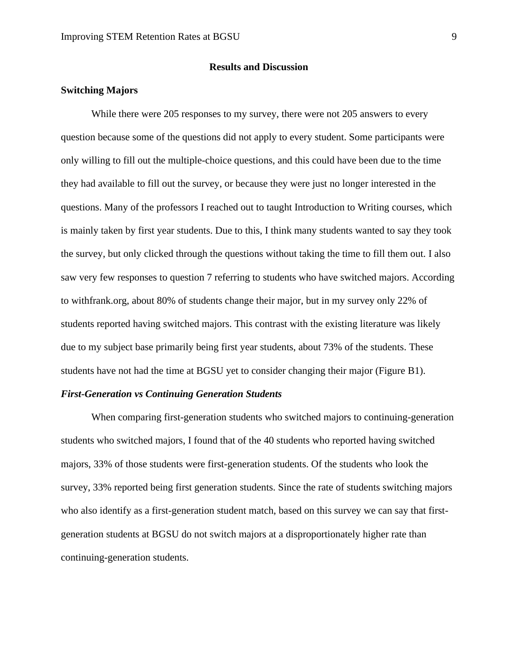#### **Results and Discussion**

#### **Switching Majors**

While there were 205 responses to my survey, there were not 205 answers to every question because some of the questions did not apply to every student. Some participants were only willing to fill out the multiple-choice questions, and this could have been due to the time they had available to fill out the survey, or because they were just no longer interested in the questions. Many of the professors I reached out to taught Introduction to Writing courses, which is mainly taken by first year students. Due to this, I think many students wanted to say they took the survey, but only clicked through the questions without taking the time to fill them out. I also saw very few responses to question 7 referring to students who have switched majors. According to withfrank.org, about 80% of students change their major, but in my survey only 22% of students reported having switched majors. This contrast with the existing literature was likely due to my subject base primarily being first year students, about 73% of the students. These students have not had the time at BGSU yet to consider changing their major (Figure B1).

#### *First-Generation vs Continuing Generation Students*

When comparing first-generation students who switched majors to continuing-generation students who switched majors, I found that of the 40 students who reported having switched majors, 33% of those students were first-generation students. Of the students who look the survey, 33% reported being first generation students. Since the rate of students switching majors who also identify as a first-generation student match, based on this survey we can say that firstgeneration students at BGSU do not switch majors at a disproportionately higher rate than continuing-generation students.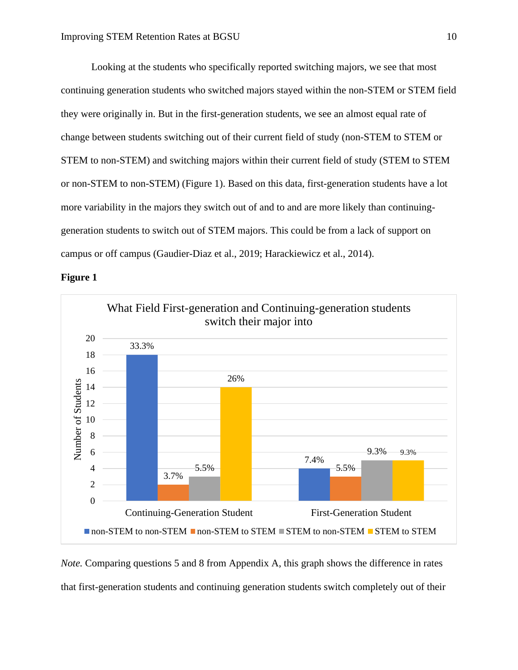Looking at the students who specifically reported switching majors, we see that most continuing generation students who switched majors stayed within the non-STEM or STEM field they were originally in. But in the first-generation students, we see an almost equal rate of change between students switching out of their current field of study (non-STEM to STEM or STEM to non-STEM) and switching majors within their current field of study (STEM to STEM or non-STEM to non-STEM) (Figure 1). Based on this data, first-generation students have a lot more variability in the majors they switch out of and to and are more likely than continuinggeneration students to switch out of STEM majors. This could be from a lack of support on campus or off campus (Gaudier-Diaz et al., 2019; Harackiewicz et al., 2014).





*Note.* Comparing questions 5 and 8 from Appendix A, this graph shows the difference in rates that first-generation students and continuing generation students switch completely out of their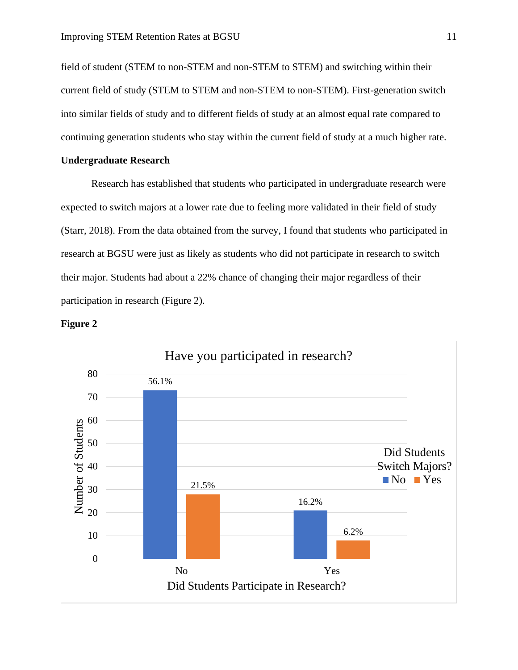field of student (STEM to non-STEM and non-STEM to STEM) and switching within their current field of study (STEM to STEM and non-STEM to non-STEM). First-generation switch into similar fields of study and to different fields of study at an almost equal rate compared to continuing generation students who stay within the current field of study at a much higher rate.

#### **Undergraduate Research**

Research has established that students who participated in undergraduate research were expected to switch majors at a lower rate due to feeling more validated in their field of study (Starr, 2018). From the data obtained from the survey, I found that students who participated in research at BGSU were just as likely as students who did not participate in research to switch their major. Students had about a 22% chance of changing their major regardless of their participation in research (Figure 2).



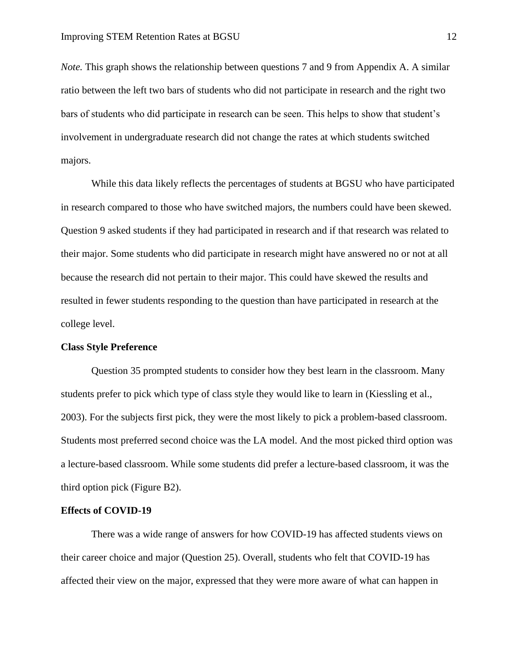*Note.* This graph shows the relationship between questions 7 and 9 from Appendix A. A similar ratio between the left two bars of students who did not participate in research and the right two bars of students who did participate in research can be seen. This helps to show that student's involvement in undergraduate research did not change the rates at which students switched majors.

While this data likely reflects the percentages of students at BGSU who have participated in research compared to those who have switched majors, the numbers could have been skewed. Question 9 asked students if they had participated in research and if that research was related to their major. Some students who did participate in research might have answered no or not at all because the research did not pertain to their major. This could have skewed the results and resulted in fewer students responding to the question than have participated in research at the college level.

#### **Class Style Preference**

Question 35 prompted students to consider how they best learn in the classroom. Many students prefer to pick which type of class style they would like to learn in (Kiessling et al., 2003). For the subjects first pick, they were the most likely to pick a problem-based classroom. Students most preferred second choice was the LA model. And the most picked third option was a lecture-based classroom. While some students did prefer a lecture-based classroom, it was the third option pick (Figure B2).

#### **Effects of COVID-19**

There was a wide range of answers for how COVID-19 has affected students views on their career choice and major (Question 25). Overall, students who felt that COVID-19 has affected their view on the major, expressed that they were more aware of what can happen in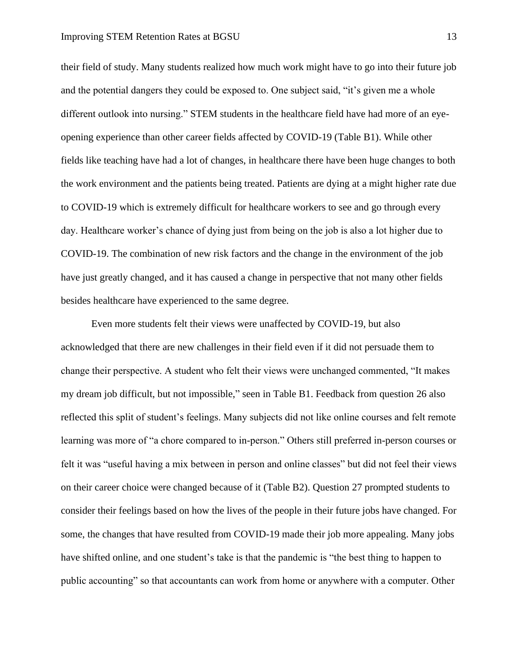their field of study. Many students realized how much work might have to go into their future job and the potential dangers they could be exposed to. One subject said, "it's given me a whole different outlook into nursing." STEM students in the healthcare field have had more of an eyeopening experience than other career fields affected by COVID-19 (Table B1). While other fields like teaching have had a lot of changes, in healthcare there have been huge changes to both the work environment and the patients being treated. Patients are dying at a might higher rate due to COVID-19 which is extremely difficult for healthcare workers to see and go through every day. Healthcare worker's chance of dying just from being on the job is also a lot higher due to COVID-19. The combination of new risk factors and the change in the environment of the job have just greatly changed, and it has caused a change in perspective that not many other fields besides healthcare have experienced to the same degree.

Even more students felt their views were unaffected by COVID-19, but also acknowledged that there are new challenges in their field even if it did not persuade them to change their perspective. A student who felt their views were unchanged commented, "It makes my dream job difficult, but not impossible," seen in Table B1. Feedback from question 26 also reflected this split of student's feelings. Many subjects did not like online courses and felt remote learning was more of "a chore compared to in-person." Others still preferred in-person courses or felt it was "useful having a mix between in person and online classes" but did not feel their views on their career choice were changed because of it (Table B2). Question 27 prompted students to consider their feelings based on how the lives of the people in their future jobs have changed. For some, the changes that have resulted from COVID-19 made their job more appealing. Many jobs have shifted online, and one student's take is that the pandemic is "the best thing to happen to public accounting" so that accountants can work from home or anywhere with a computer. Other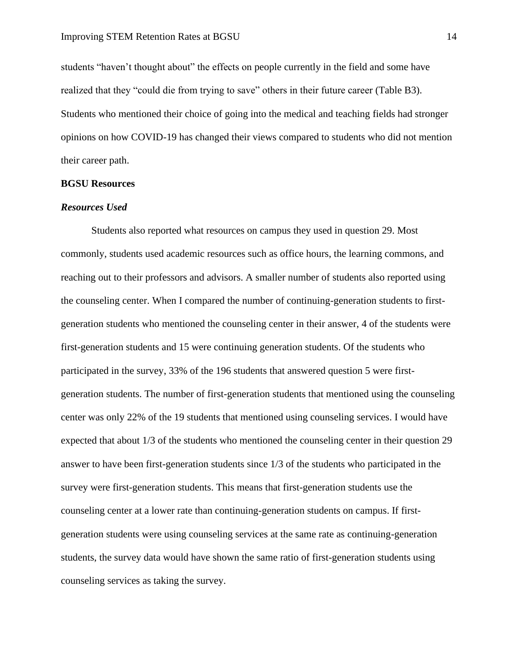students "haven't thought about" the effects on people currently in the field and some have realized that they "could die from trying to save" others in their future career (Table B3). Students who mentioned their choice of going into the medical and teaching fields had stronger opinions on how COVID-19 has changed their views compared to students who did not mention their career path.

#### **BGSU Resources**

#### *Resources Used*

Students also reported what resources on campus they used in question 29. Most commonly, students used academic resources such as office hours, the learning commons, and reaching out to their professors and advisors. A smaller number of students also reported using the counseling center. When I compared the number of continuing-generation students to firstgeneration students who mentioned the counseling center in their answer, 4 of the students were first-generation students and 15 were continuing generation students. Of the students who participated in the survey, 33% of the 196 students that answered question 5 were firstgeneration students. The number of first-generation students that mentioned using the counseling center was only 22% of the 19 students that mentioned using counseling services. I would have expected that about 1/3 of the students who mentioned the counseling center in their question 29 answer to have been first-generation students since 1/3 of the students who participated in the survey were first-generation students. This means that first-generation students use the counseling center at a lower rate than continuing-generation students on campus. If firstgeneration students were using counseling services at the same rate as continuing-generation students, the survey data would have shown the same ratio of first-generation students using counseling services as taking the survey.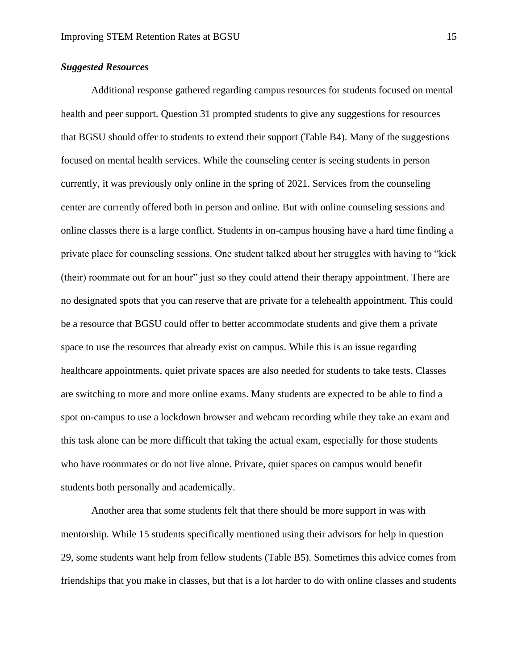# *Suggested Resources*

Additional response gathered regarding campus resources for students focused on mental health and peer support. Question 31 prompted students to give any suggestions for resources that BGSU should offer to students to extend their support (Table B4). Many of the suggestions focused on mental health services. While the counseling center is seeing students in person currently, it was previously only online in the spring of 2021. Services from the counseling center are currently offered both in person and online. But with online counseling sessions and online classes there is a large conflict. Students in on-campus housing have a hard time finding a private place for counseling sessions. One student talked about her struggles with having to "kick (their) roommate out for an hour" just so they could attend their therapy appointment. There are no designated spots that you can reserve that are private for a telehealth appointment. This could be a resource that BGSU could offer to better accommodate students and give them a private space to use the resources that already exist on campus. While this is an issue regarding healthcare appointments, quiet private spaces are also needed for students to take tests. Classes are switching to more and more online exams. Many students are expected to be able to find a spot on-campus to use a lockdown browser and webcam recording while they take an exam and this task alone can be more difficult that taking the actual exam, especially for those students who have roommates or do not live alone. Private, quiet spaces on campus would benefit students both personally and academically.

Another area that some students felt that there should be more support in was with mentorship. While 15 students specifically mentioned using their advisors for help in question 29, some students want help from fellow students (Table B5). Sometimes this advice comes from friendships that you make in classes, but that is a lot harder to do with online classes and students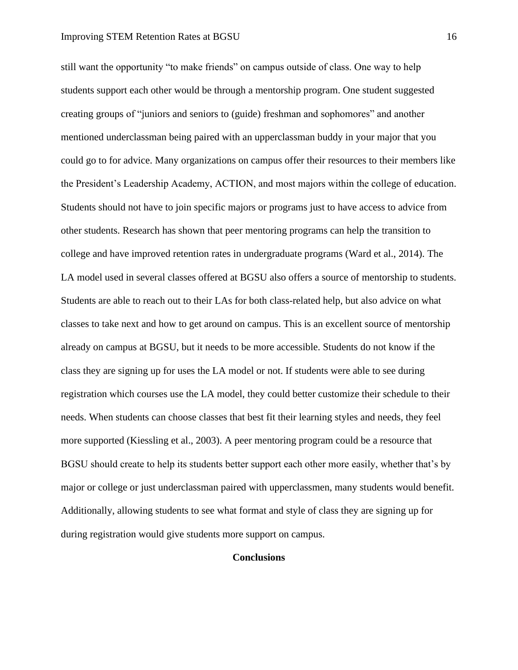still want the opportunity "to make friends" on campus outside of class. One way to help students support each other would be through a mentorship program. One student suggested creating groups of "juniors and seniors to (guide) freshman and sophomores" and another mentioned underclassman being paired with an upperclassman buddy in your major that you could go to for advice. Many organizations on campus offer their resources to their members like the President's Leadership Academy, ACTION, and most majors within the college of education. Students should not have to join specific majors or programs just to have access to advice from other students. Research has shown that peer mentoring programs can help the transition to college and have improved retention rates in undergraduate programs (Ward et al., 2014). The LA model used in several classes offered at BGSU also offers a source of mentorship to students. Students are able to reach out to their LAs for both class-related help, but also advice on what classes to take next and how to get around on campus. This is an excellent source of mentorship already on campus at BGSU, but it needs to be more accessible. Students do not know if the class they are signing up for uses the LA model or not. If students were able to see during registration which courses use the LA model, they could better customize their schedule to their needs. When students can choose classes that best fit their learning styles and needs, they feel more supported (Kiessling et al., 2003). A peer mentoring program could be a resource that BGSU should create to help its students better support each other more easily, whether that's by major or college or just underclassman paired with upperclassmen, many students would benefit. Additionally, allowing students to see what format and style of class they are signing up for during registration would give students more support on campus.

# **Conclusions**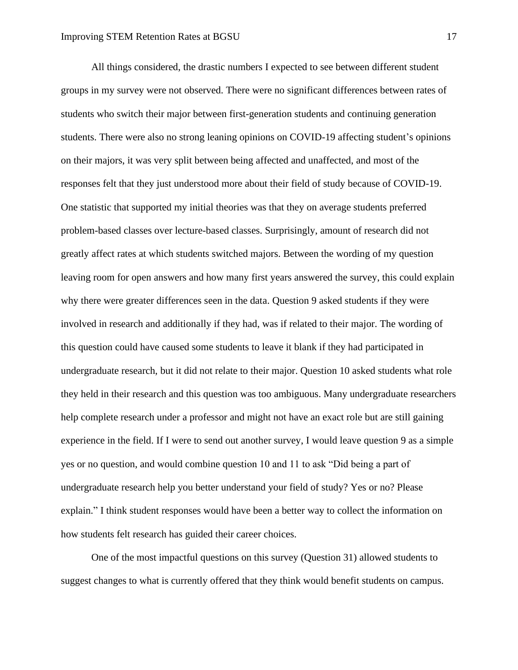All things considered, the drastic numbers I expected to see between different student groups in my survey were not observed. There were no significant differences between rates of students who switch their major between first-generation students and continuing generation students. There were also no strong leaning opinions on COVID-19 affecting student's opinions on their majors, it was very split between being affected and unaffected, and most of the responses felt that they just understood more about their field of study because of COVID-19. One statistic that supported my initial theories was that they on average students preferred problem-based classes over lecture-based classes. Surprisingly, amount of research did not greatly affect rates at which students switched majors. Between the wording of my question leaving room for open answers and how many first years answered the survey, this could explain why there were greater differences seen in the data. Question 9 asked students if they were involved in research and additionally if they had, was if related to their major. The wording of this question could have caused some students to leave it blank if they had participated in undergraduate research, but it did not relate to their major. Question 10 asked students what role they held in their research and this question was too ambiguous. Many undergraduate researchers help complete research under a professor and might not have an exact role but are still gaining experience in the field. If I were to send out another survey, I would leave question 9 as a simple yes or no question, and would combine question 10 and 11 to ask "Did being a part of undergraduate research help you better understand your field of study? Yes or no? Please explain." I think student responses would have been a better way to collect the information on how students felt research has guided their career choices.

One of the most impactful questions on this survey (Question 31) allowed students to suggest changes to what is currently offered that they think would benefit students on campus.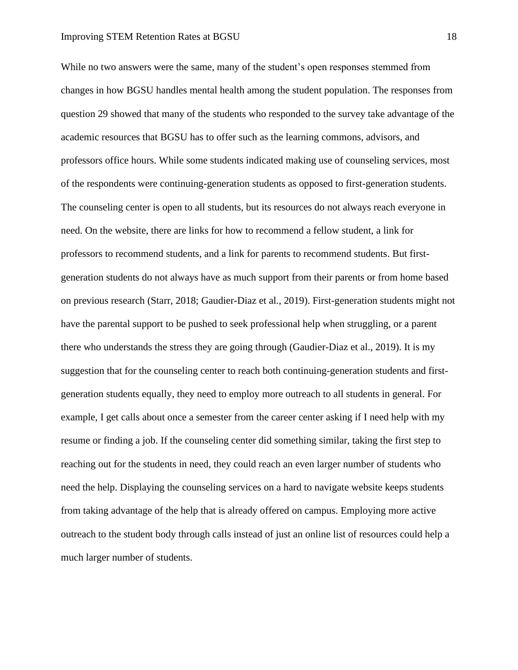While no two answers were the same, many of the student's open responses stemmed from changes in how BGSU handles mental health among the student population. The responses from question 29 showed that many of the students who responded to the survey take advantage of the academic resources that BGSU has to offer such as the learning commons, advisors, and professors office hours. While some students indicated making use of counseling services, most of the respondents were continuing-generation students as opposed to first-generation students. The counseling center is open to all students, but its resources do not always reach everyone in need. On the website, there are links for how to recommend a fellow student, a link for professors to recommend students, and a link for parents to recommend students. But firstgeneration students do not always have as much support from their parents or from home based on previous research (Starr, 2018; Gaudier-Diaz et al., 2019). First-generation students might not have the parental support to be pushed to seek professional help when struggling, or a parent there who understands the stress they are going through (Gaudier-Diaz et al., 2019). It is my suggestion that for the counseling center to reach both continuing-generation students and firstgeneration students equally, they need to employ more outreach to all students in general. For example, I get calls about once a semester from the career center asking if I need help with my resume or finding a job. If the counseling center did something similar, taking the first step to reaching out for the students in need, they could reach an even larger number of students who need the help. Displaying the counseling services on a hard to navigate website keeps students from taking advantage of the help that is already offered on campus. Employing more active outreach to the student body through calls instead of just an online list of resources could help a much larger number of students.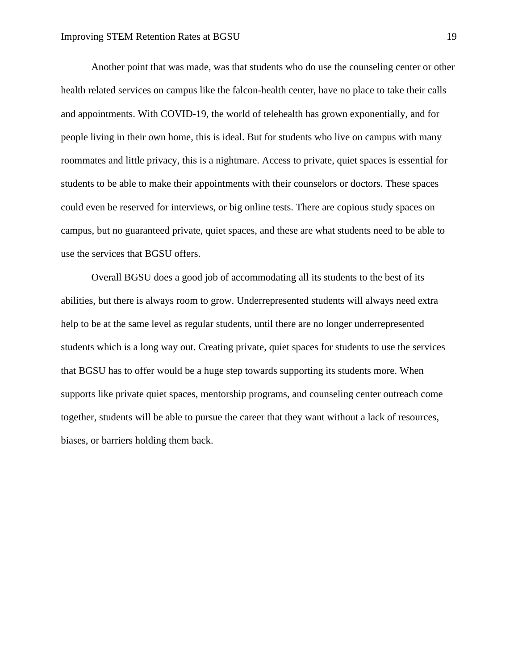Another point that was made, was that students who do use the counseling center or other health related services on campus like the falcon-health center, have no place to take their calls and appointments. With COVID-19, the world of telehealth has grown exponentially, and for people living in their own home, this is ideal. But for students who live on campus with many roommates and little privacy, this is a nightmare. Access to private, quiet spaces is essential for students to be able to make their appointments with their counselors or doctors. These spaces could even be reserved for interviews, or big online tests. There are copious study spaces on campus, but no guaranteed private, quiet spaces, and these are what students need to be able to use the services that BGSU offers.

Overall BGSU does a good job of accommodating all its students to the best of its abilities, but there is always room to grow. Underrepresented students will always need extra help to be at the same level as regular students, until there are no longer underrepresented students which is a long way out. Creating private, quiet spaces for students to use the services that BGSU has to offer would be a huge step towards supporting its students more. When supports like private quiet spaces, mentorship programs, and counseling center outreach come together, students will be able to pursue the career that they want without a lack of resources, biases, or barriers holding them back.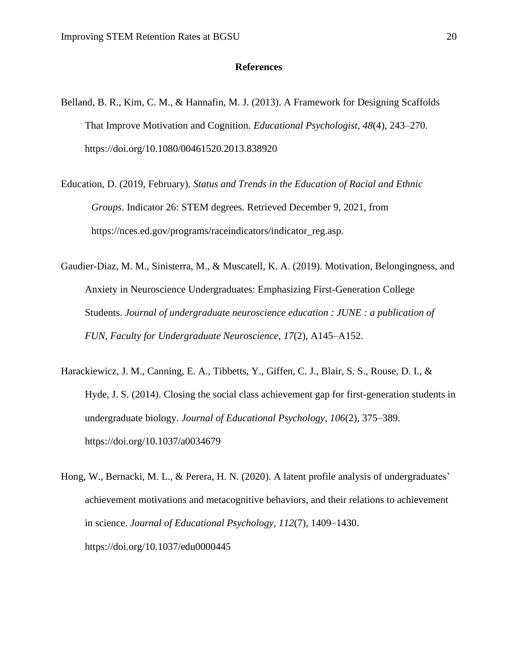#### **References**

- Belland, B. R., Kim, C. M., & Hannafin, M. J. (2013). A Framework for Designing Scaffolds That Improve Motivation and Cognition. *Educational Psychologist*, *48*(4), 243–270. https://doi.org/10.1080/00461520.2013.838920
- Education, D. (2019, February). *Status and Trends in the Education of Racial and Ethnic Groups*. Indicator 26: STEM degrees. Retrieved December 9, 2021, from https://nces.ed.gov/programs/raceindicators/indicator\_reg.asp.
- Gaudier-Diaz, M. M., Sinisterra, M., & Muscatell, K. A. (2019). Motivation, Belongingness, and Anxiety in Neuroscience Undergraduates: Emphasizing First-Generation College Students. *Journal of undergraduate neuroscience education : JUNE : a publication of FUN, Faculty for Undergraduate Neuroscience*, *17*(2), A145–A152.
- Harackiewicz, J. M., Canning, E. A., Tibbetts, Y., Giffen, C. J., Blair, S. S., Rouse, D. I., & Hyde, J. S. (2014). Closing the social class achievement gap for first-generation students in undergraduate biology. *Journal of Educational Psychology*, *106*(2), 375–389. https://doi.org/10.1037/a0034679
- Hong, W., Bernacki, M. L., & Perera, H. N. (2020). A latent profile analysis of undergraduates' achievement motivations and metacognitive behaviors, and their relations to achievement in science. *Journal of Educational Psychology*, *112*(7), 1409–1430. https://doi.org/10.1037/edu0000445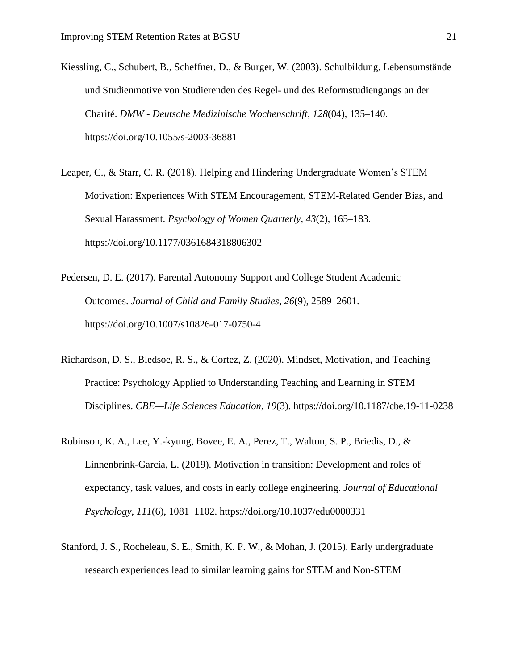- Kiessling, C., Schubert, B., Scheffner, D., & Burger, W. (2003). Schulbildung, Lebensumstände und Studienmotive von Studierenden des Regel- und des Reformstudiengangs an der Charité. *DMW - Deutsche Medizinische Wochenschrift*, *128*(04), 135–140. https://doi.org/10.1055/s-2003-36881
- Leaper, C., & Starr, C. R. (2018). Helping and Hindering Undergraduate Women's STEM Motivation: Experiences With STEM Encouragement, STEM-Related Gender Bias, and Sexual Harassment. *Psychology of Women Quarterly*, *43*(2), 165–183. https://doi.org/10.1177/0361684318806302
- Pedersen, D. E. (2017). Parental Autonomy Support and College Student Academic Outcomes. *Journal of Child and Family Studies*, *26*(9), 2589–2601. https://doi.org/10.1007/s10826-017-0750-4
- Richardson, D. S., Bledsoe, R. S., & Cortez, Z. (2020). Mindset, Motivation, and Teaching Practice: Psychology Applied to Understanding Teaching and Learning in STEM Disciplines. *CBE—Life Sciences Education*, *19*(3). https://doi.org/10.1187/cbe.19-11-0238
- Robinson, K. A., Lee, Y.-kyung, Bovee, E. A., Perez, T., Walton, S. P., Briedis, D., & Linnenbrink-Garcia, L. (2019). Motivation in transition: Development and roles of expectancy, task values, and costs in early college engineering. *Journal of Educational Psychology*, *111*(6), 1081–1102. https://doi.org/10.1037/edu0000331
- Stanford, J. S., Rocheleau, S. E., Smith, K. P. W., & Mohan, J. (2015). Early undergraduate research experiences lead to similar learning gains for STEM and Non-STEM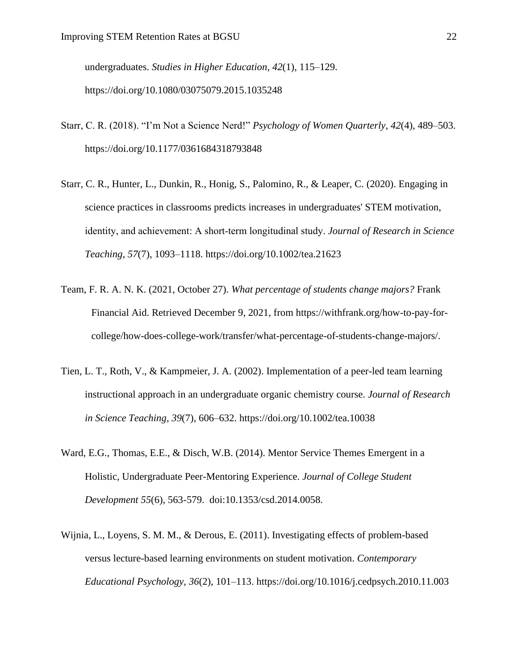undergraduates. *Studies in Higher Education*, *42*(1), 115–129. https://doi.org/10.1080/03075079.2015.1035248

- Starr, C. R. (2018). "I'm Not a Science Nerd!" *Psychology of Women Quarterly*, *42*(4), 489–503. https://doi.org/10.1177/0361684318793848
- Starr, C. R., Hunter, L., Dunkin, R., Honig, S., Palomino, R., & Leaper, C. (2020). Engaging in science practices in classrooms predicts increases in undergraduates' STEM motivation, identity, and achievement: A short‐term longitudinal study. *Journal of Research in Science Teaching*, *57*(7), 1093–1118. https://doi.org/10.1002/tea.21623
- Team, F. R. A. N. K. (2021, October 27). *What percentage of students change majors?* Frank Financial Aid. Retrieved December 9, 2021, from https://withfrank.org/how-to-pay-forcollege/how-does-college-work/transfer/what-percentage-of-students-change-majors/.
- Tien, L. T., Roth, V., & Kampmeier, J. A. (2002). Implementation of a peer-led team learning instructional approach in an undergraduate organic chemistry course. *Journal of Research in Science Teaching*, *39*(7), 606–632. https://doi.org/10.1002/tea.10038
- Ward, E.G., Thomas, E.E., & Disch, W.B. (2014). Mentor Service Themes Emergent in a Holistic, Undergraduate Peer-Mentoring Experience. *Journal of College Student Development 55*(6), 563-579. doi:10.1353/csd.2014.0058.
- Wijnia, L., Loyens, S. M. M., & Derous, E. (2011). Investigating effects of problem-based versus lecture-based learning environments on student motivation. *Contemporary Educational Psychology*, *36*(2), 101–113. https://doi.org/10.1016/j.cedpsych.2010.11.003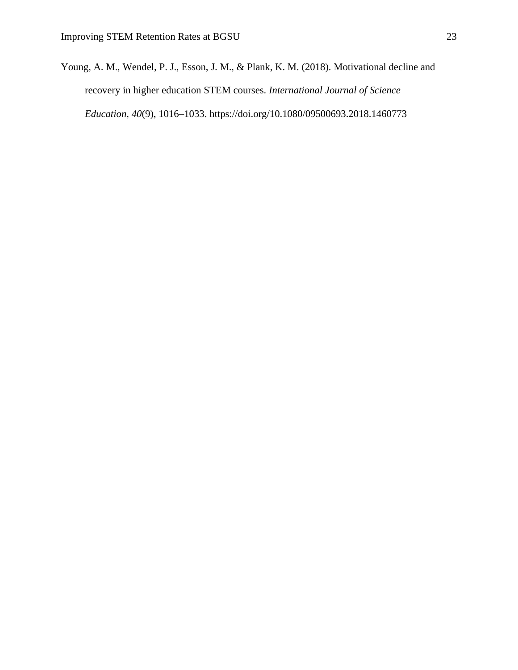Young, A. M., Wendel, P. J., Esson, J. M., & Plank, K. M. (2018). Motivational decline and recovery in higher education STEM courses. *International Journal of Science Education*, *40*(9), 1016–1033. https://doi.org/10.1080/09500693.2018.1460773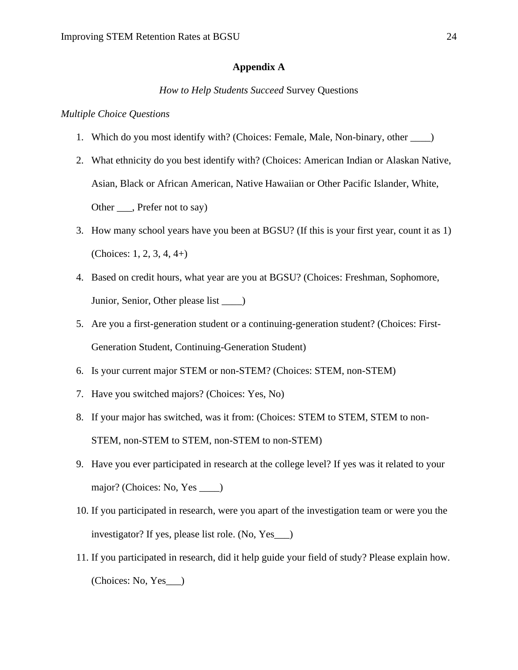## **Appendix A**

#### *How to Help Students Succeed* Survey Questions

#### *Multiple Choice Questions*

- 1. Which do you most identify with? (Choices: Female, Male, Non-binary, other \_\_\_\_)
- 2. What ethnicity do you best identify with? (Choices: American Indian or Alaskan Native, Asian, Black or African American, Native Hawaiian or Other Pacific Islander, White, Other \_\_\_, Prefer not to say)
- 3. How many school years have you been at BGSU? (If this is your first year, count it as 1) (Choices: 1, 2, 3, 4, 4+)
- 4. Based on credit hours, what year are you at BGSU? (Choices: Freshman, Sophomore, Junior, Senior, Other please list \_\_\_\_)
- 5. Are you a first-generation student or a continuing-generation student? (Choices: First-Generation Student, Continuing-Generation Student)
- 6. Is your current major STEM or non-STEM? (Choices: STEM, non-STEM)
- 7. Have you switched majors? (Choices: Yes, No)
- 8. If your major has switched, was it from: (Choices: STEM to STEM, STEM to non-STEM, non-STEM to STEM, non-STEM to non-STEM)
- 9. Have you ever participated in research at the college level? If yes was it related to your major? (Choices: No, Yes \_\_\_\_)
- 10. If you participated in research, were you apart of the investigation team or were you the investigator? If yes, please list role. (No, Yes\_\_\_)
- 11. If you participated in research, did it help guide your field of study? Please explain how. (Choices: No, Yes\_\_\_)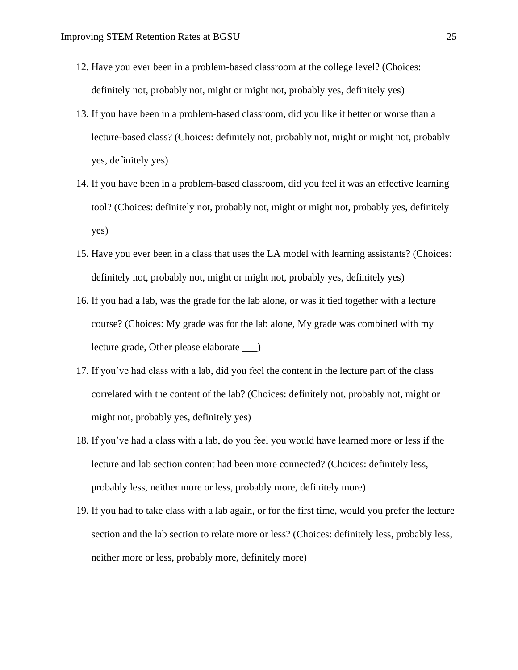- 12. Have you ever been in a problem-based classroom at the college level? (Choices: definitely not, probably not, might or might not, probably yes, definitely yes)
- 13. If you have been in a problem-based classroom, did you like it better or worse than a lecture-based class? (Choices: definitely not, probably not, might or might not, probably yes, definitely yes)
- 14. If you have been in a problem-based classroom, did you feel it was an effective learning tool? (Choices: definitely not, probably not, might or might not, probably yes, definitely yes)
- 15. Have you ever been in a class that uses the LA model with learning assistants? (Choices: definitely not, probably not, might or might not, probably yes, definitely yes)
- 16. If you had a lab, was the grade for the lab alone, or was it tied together with a lecture course? (Choices: My grade was for the lab alone, My grade was combined with my lecture grade, Other please elaborate \_\_\_)
- 17. If you've had class with a lab, did you feel the content in the lecture part of the class correlated with the content of the lab? (Choices: definitely not, probably not, might or might not, probably yes, definitely yes)
- 18. If you've had a class with a lab, do you feel you would have learned more or less if the lecture and lab section content had been more connected? (Choices: definitely less, probably less, neither more or less, probably more, definitely more)
- 19. If you had to take class with a lab again, or for the first time, would you prefer the lecture section and the lab section to relate more or less? (Choices: definitely less, probably less, neither more or less, probably more, definitely more)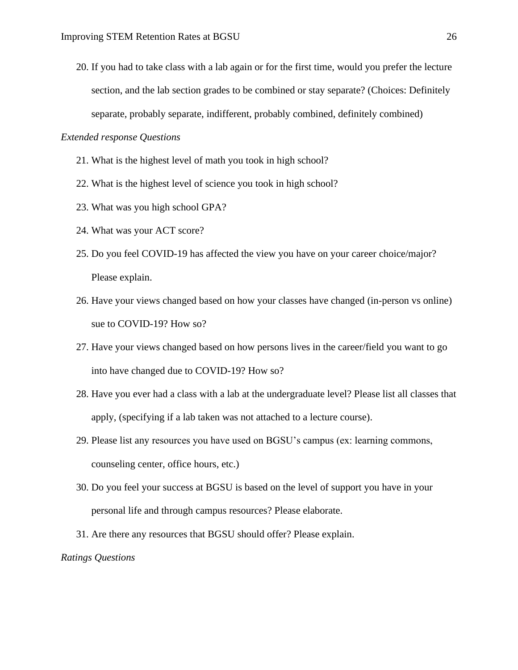20. If you had to take class with a lab again or for the first time, would you prefer the lecture section, and the lab section grades to be combined or stay separate? (Choices: Definitely separate, probably separate, indifferent, probably combined, definitely combined)

#### *Extended response Questions*

- 21. What is the highest level of math you took in high school?
- 22. What is the highest level of science you took in high school?
- 23. What was you high school GPA?
- 24. What was your ACT score?
- 25. Do you feel COVID-19 has affected the view you have on your career choice/major? Please explain.
- 26. Have your views changed based on how your classes have changed (in-person vs online) sue to COVID-19? How so?
- 27. Have your views changed based on how persons lives in the career/field you want to go into have changed due to COVID-19? How so?
- 28. Have you ever had a class with a lab at the undergraduate level? Please list all classes that apply, (specifying if a lab taken was not attached to a lecture course).
- 29. Please list any resources you have used on BGSU's campus (ex: learning commons, counseling center, office hours, etc.)
- 30. Do you feel your success at BGSU is based on the level of support you have in your personal life and through campus resources? Please elaborate.
- 31. Are there any resources that BGSU should offer? Please explain.

#### *Ratings Questions*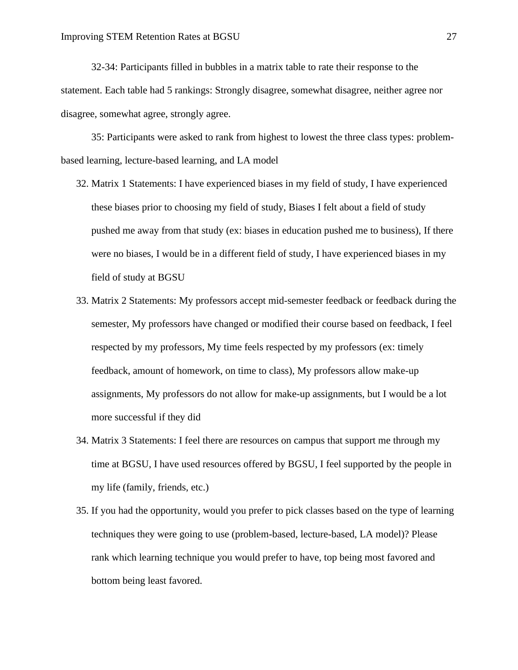32-34: Participants filled in bubbles in a matrix table to rate their response to the statement. Each table had 5 rankings: Strongly disagree, somewhat disagree, neither agree nor disagree, somewhat agree, strongly agree.

35: Participants were asked to rank from highest to lowest the three class types: problembased learning, lecture-based learning, and LA model

- 32. Matrix 1 Statements: I have experienced biases in my field of study, I have experienced these biases prior to choosing my field of study, Biases I felt about a field of study pushed me away from that study (ex: biases in education pushed me to business), If there were no biases, I would be in a different field of study, I have experienced biases in my field of study at BGSU
- 33. Matrix 2 Statements: My professors accept mid-semester feedback or feedback during the semester, My professors have changed or modified their course based on feedback, I feel respected by my professors, My time feels respected by my professors (ex: timely feedback, amount of homework, on time to class), My professors allow make-up assignments, My professors do not allow for make-up assignments, but I would be a lot more successful if they did
- 34. Matrix 3 Statements: I feel there are resources on campus that support me through my time at BGSU, I have used resources offered by BGSU, I feel supported by the people in my life (family, friends, etc.)
- 35. If you had the opportunity, would you prefer to pick classes based on the type of learning techniques they were going to use (problem-based, lecture-based, LA model)? Please rank which learning technique you would prefer to have, top being most favored and bottom being least favored.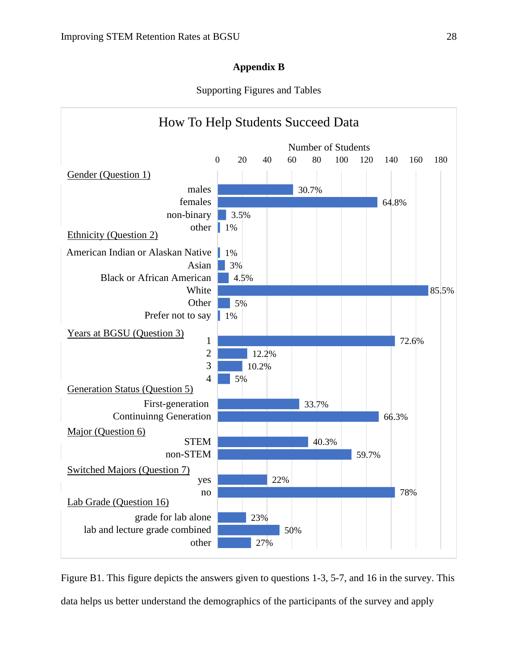# **Appendix B**

Supporting Figures and Tables



Figure B1. This figure depicts the answers given to questions 1-3, 5-7, and 16 in the survey. This data helps us better understand the demographics of the participants of the survey and apply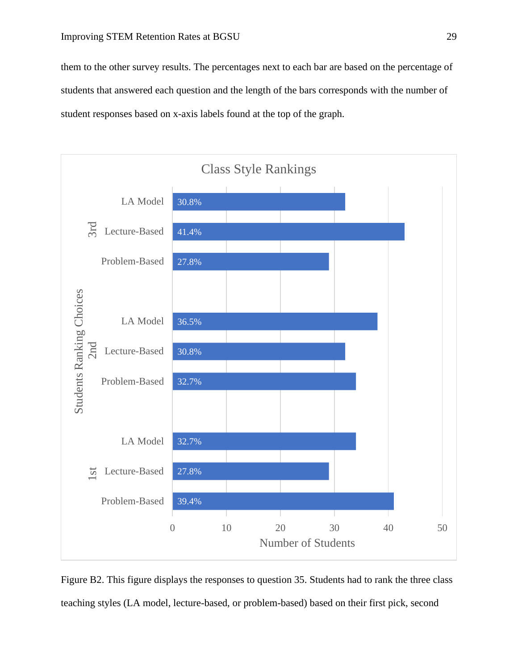them to the other survey results. The percentages next to each bar are based on the percentage of students that answered each question and the length of the bars corresponds with the number of student responses based on x-axis labels found at the top of the graph.



Figure B2. This figure displays the responses to question 35. Students had to rank the three class teaching styles (LA model, lecture-based, or problem-based) based on their first pick, second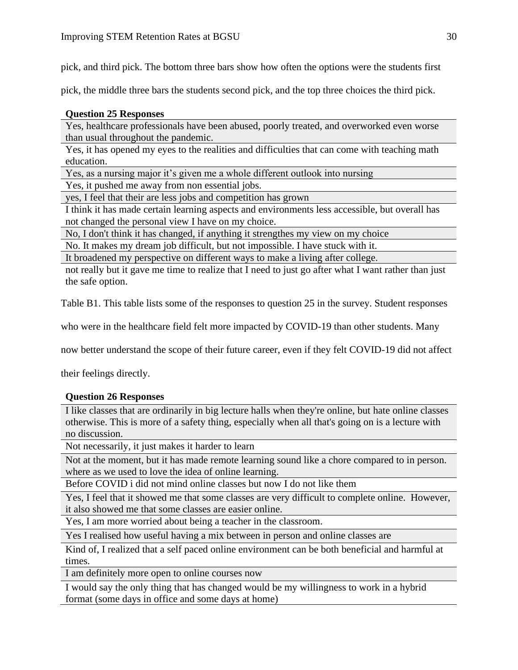pick, and third pick. The bottom three bars show how often the options were the students first

pick, the middle three bars the students second pick, and the top three choices the third pick.

# **Question 25 Responses**

Yes, healthcare professionals have been abused, poorly treated, and overworked even worse than usual throughout the pandemic.

Yes, it has opened my eyes to the realities and difficulties that can come with teaching math education.

Yes, as a nursing major it's given me a whole different outlook into nursing

Yes, it pushed me away from non essential jobs.

yes, I feel that their are less jobs and competition has grown

I think it has made certain learning aspects and environments less accessible, but overall has not changed the personal view I have on my choice.

No, I don't think it has changed, if anything it strengthes my view on my choice

No. It makes my dream job difficult, but not impossible. I have stuck with it.

It broadened my perspective on different ways to make a living after college.

not really but it gave me time to realize that I need to just go after what I want rather than just the safe option.

Table B1. This table lists some of the responses to question 25 in the survey. Student responses

who were in the healthcare field felt more impacted by COVID-19 than other students. Many

now better understand the scope of their future career, even if they felt COVID-19 did not affect

their feelings directly.

# **Question 26 Responses**

I like classes that are ordinarily in big lecture halls when they're online, but hate online classes otherwise. This is more of a safety thing, especially when all that's going on is a lecture with no discussion.

Not necessarily, it just makes it harder to learn

Not at the moment, but it has made remote learning sound like a chore compared to in person. where as we used to love the idea of online learning.

Before COVID i did not mind online classes but now I do not like them

Yes, I feel that it showed me that some classes are very difficult to complete online. However, it also showed me that some classes are easier online.

Yes, I am more worried about being a teacher in the classroom.

Yes I realised how useful having a mix between in person and online classes are

Kind of, I realized that a self paced online environment can be both beneficial and harmful at times.

I am definitely more open to online courses now

I would say the only thing that has changed would be my willingness to work in a hybrid format (some days in office and some days at home)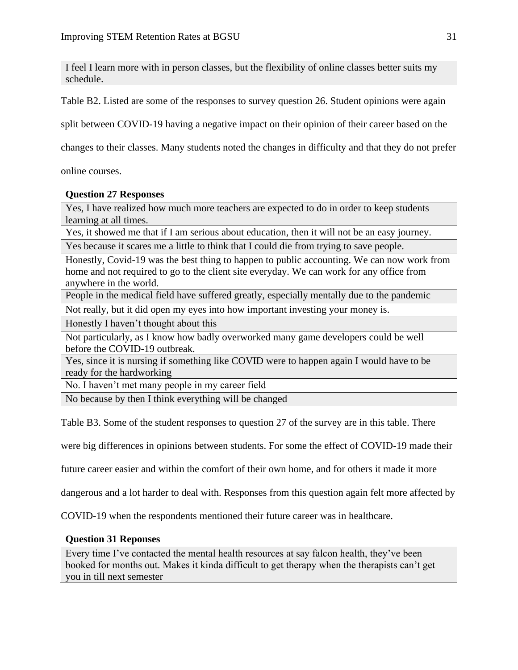I feel I learn more with in person classes, but the flexibility of online classes better suits my schedule.

Table B2. Listed are some of the responses to survey question 26. Student opinions were again

split between COVID-19 having a negative impact on their opinion of their career based on the

changes to their classes. Many students noted the changes in difficulty and that they do not prefer

online courses.

## **Question 27 Responses**

Yes, I have realized how much more teachers are expected to do in order to keep students learning at all times.

Yes, it showed me that if I am serious about education, then it will not be an easy journey.

Yes because it scares me a little to think that I could die from trying to save people.

Honestly, Covid-19 was the best thing to happen to public accounting. We can now work from home and not required to go to the client site everyday. We can work for any office from anywhere in the world.

People in the medical field have suffered greatly, especially mentally due to the pandemic

Not really, but it did open my eyes into how important investing your money is.

Honestly I haven't thought about this

Not particularly, as I know how badly overworked many game developers could be well before the COVID-19 outbreak.

Yes, since it is nursing if something like COVID were to happen again I would have to be ready for the hardworking

No. I haven't met many people in my career field

No because by then I think everything will be changed

Table B3. Some of the student responses to question 27 of the survey are in this table. There

were big differences in opinions between students. For some the effect of COVID-19 made their

future career easier and within the comfort of their own home, and for others it made it more

dangerous and a lot harder to deal with. Responses from this question again felt more affected by

COVID-19 when the respondents mentioned their future career was in healthcare.

## **Question 31 Reponses**

Every time I've contacted the mental health resources at say falcon health, they've been booked for months out. Makes it kinda difficult to get therapy when the therapists can't get you in till next semester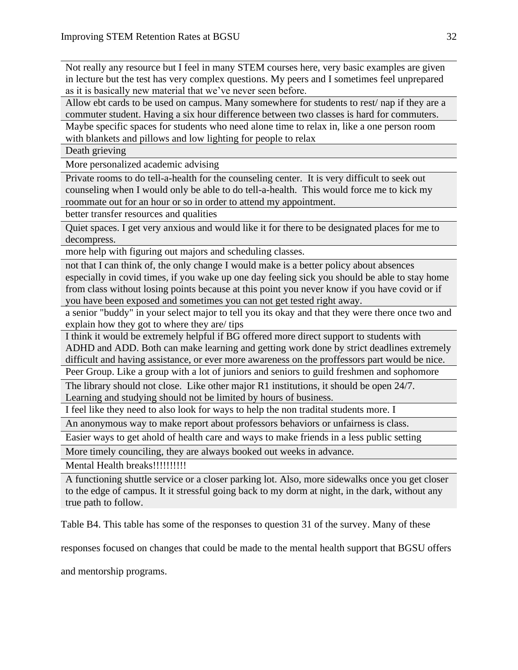Not really any resource but I feel in many STEM courses here, very basic examples are given in lecture but the test has very complex questions. My peers and I sometimes feel unprepared as it is basically new material that we've never seen before.

Allow ebt cards to be used on campus. Many somewhere for students to rest/ nap if they are a commuter student. Having a six hour difference between two classes is hard for commuters.

Maybe specific spaces for students who need alone time to relax in, like a one person room with blankets and pillows and low lighting for people to relax

Death grieving

More personalized academic advising

Private rooms to do tell-a-health for the counseling center. It is very difficult to seek out counseling when I would only be able to do tell-a-health. This would force me to kick my roommate out for an hour or so in order to attend my appointment.

better transfer resources and qualities

Quiet spaces. I get very anxious and would like it for there to be designated places for me to decompress.

more help with figuring out majors and scheduling classes.

not that I can think of, the only change I would make is a better policy about absences especially in covid times, if you wake up one day feeling sick you should be able to stay home from class without losing points because at this point you never know if you have covid or if you have been exposed and sometimes you can not get tested right away.

a senior "buddy" in your select major to tell you its okay and that they were there once two and explain how they got to where they are/ tips

I think it would be extremely helpful if BG offered more direct support to students with ADHD and ADD. Both can make learning and getting work done by strict deadlines extremely difficult and having assistance, or ever more awareness on the proffessors part would be nice.

Peer Group. Like a group with a lot of juniors and seniors to guild freshmen and sophomore

The library should not close. Like other major R1 institutions, it should be open 24/7. Learning and studying should not be limited by hours of business.

I feel like they need to also look for ways to help the non tradital students more. I

An anonymous way to make report about professors behaviors or unfairness is class.

Easier ways to get ahold of health care and ways to make friends in a less public setting

More timely counciling, they are always booked out weeks in advance.

Mental Health breaks!!!!!!!!!!!

A functioning shuttle service or a closer parking lot. Also, more sidewalks once you get closer to the edge of campus. It it stressful going back to my dorm at night, in the dark, without any true path to follow.

Table B4. This table has some of the responses to question 31 of the survey. Many of these

responses focused on changes that could be made to the mental health support that BGSU offers

and mentorship programs.